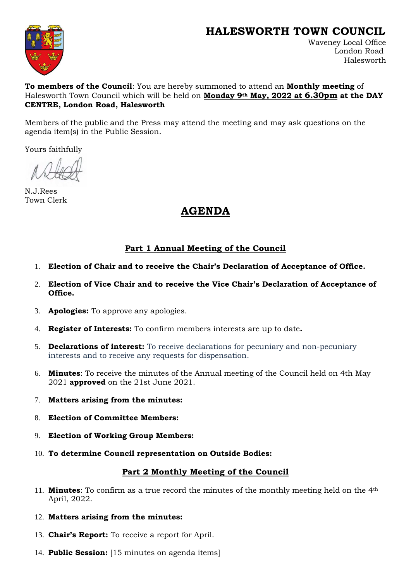## **HALESWORTH TOWN COUNCIL**



Waveney Local Office London Road Halesworth

#### **To members of the Council**: You are hereby summoned to attend an **Monthly meeting** of Halesworth Town Council which will be held on **Monday 9th May, 2022 at 6.30pm at the DAY CENTRE, London Road, Halesworth**

Members of the public and the Press may attend the meeting and may ask questions on the agenda item(s) in the Public Session.

Yours faithfully

N.J.Rees Town Clerk

# **AGENDA**

## **Part 1 Annual Meeting of the Council**

- 1. **Election of Chair and to receive the Chair's Declaration of Acceptance of Office.**
- 2. **Election of Vice Chair and to receive the Vice Chair's Declaration of Acceptance of Office.**
- 3. **Apologies:** To approve any apologies.
- 4. **Register of Interests:** To confirm members interests are up to date**.**
- 5. **Declarations of interest:** To receive declarations for pecuniary and non-pecuniary interests and to receive any requests for dispensation.
- 6. **Minutes**: To receive the minutes of the Annual meeting of the Council held on 4th May 2021 **approved** on the 21st June 2021.
- 7. **Matters arising from the minutes:**
- 8. **Election of Committee Members:**
- 9. **Election of Working Group Members:**
- 10. **To determine Council representation on Outside Bodies:**

### **Part 2 Monthly Meeting of the Council**

- 11. **Minutes**: To confirm as a true record the minutes of the monthly meeting held on the 4th April, 2022.
- 12. **Matters arising from the minutes:**
- 13. **Chair's Report:** To receive a report for April.
- 14. **Public Session:** [15 minutes on agenda items]